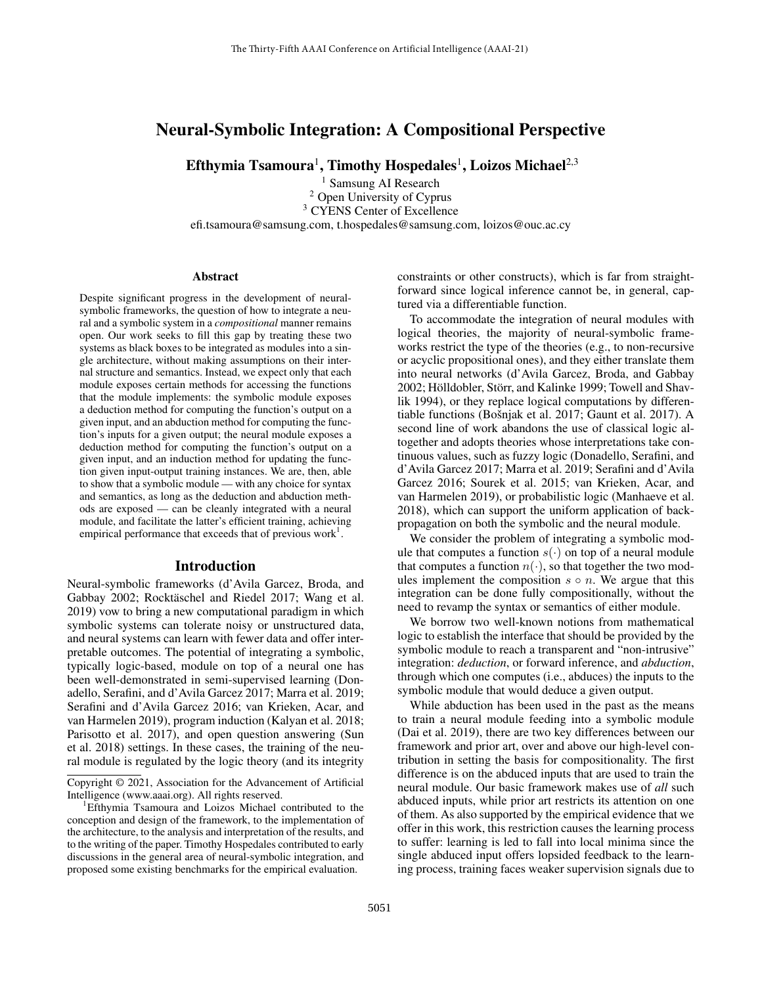# Neural-Symbolic Integration: A Compositional Perspective

Efthymia Tsamoura $^1$ , Timothy Hospedales $^1$ , Loizos Michael $^{2,3}$ 

<sup>1</sup> Samsung AI Research <sup>2</sup> Open University of Cyprus <sup>3</sup> CYENS Center of Excellence efi.tsamoura@samsung.com, t.hospedales@samsung.com, loizos@ouc.ac.cy

#### **Abstract**

Despite significant progress in the development of neuralsymbolic frameworks, the question of how to integrate a neural and a symbolic system in a *compositional* manner remains open. Our work seeks to fill this gap by treating these two systems as black boxes to be integrated as modules into a single architecture, without making assumptions on their internal structure and semantics. Instead, we expect only that each module exposes certain methods for accessing the functions that the module implements: the symbolic module exposes a deduction method for computing the function's output on a given input, and an abduction method for computing the function's inputs for a given output; the neural module exposes a deduction method for computing the function's output on a given input, and an induction method for updating the function given input-output training instances. We are, then, able to show that a symbolic module — with any choice for syntax and semantics, as long as the deduction and abduction methods are exposed — can be cleanly integrated with a neural module, and facilitate the latter's efficient training, achieving empirical performance that exceeds that of previous work<sup>1</sup>.

### Introduction

Neural-symbolic frameworks (d'Avila Garcez, Broda, and Gabbay 2002; Rocktäschel and Riedel 2017; Wang et al. 2019) vow to bring a new computational paradigm in which symbolic systems can tolerate noisy or unstructured data, and neural systems can learn with fewer data and offer interpretable outcomes. The potential of integrating a symbolic, typically logic-based, module on top of a neural one has been well-demonstrated in semi-supervised learning (Donadello, Serafini, and d'Avila Garcez 2017; Marra et al. 2019; Serafini and d'Avila Garcez 2016; van Krieken, Acar, and van Harmelen 2019), program induction (Kalyan et al. 2018; Parisotto et al. 2017), and open question answering (Sun et al. 2018) settings. In these cases, the training of the neural module is regulated by the logic theory (and its integrity

constraints or other constructs), which is far from straightforward since logical inference cannot be, in general, captured via a differentiable function.

To accommodate the integration of neural modules with logical theories, the majority of neural-symbolic frameworks restrict the type of the theories (e.g., to non-recursive or acyclic propositional ones), and they either translate them into neural networks (d'Avila Garcez, Broda, and Gabbay 2002; Hölldobler, Störr, and Kalinke 1999; Towell and Shavlik 1994), or they replace logical computations by differentiable functions (Bošnjak et al. 2017; Gaunt et al. 2017). A second line of work abandons the use of classical logic altogether and adopts theories whose interpretations take continuous values, such as fuzzy logic (Donadello, Serafini, and d'Avila Garcez 2017; Marra et al. 2019; Serafini and d'Avila Garcez 2016; Sourek et al. 2015; van Krieken, Acar, and van Harmelen 2019), or probabilistic logic (Manhaeve et al. 2018), which can support the uniform application of backpropagation on both the symbolic and the neural module.

We consider the problem of integrating a symbolic module that computes a function  $s(\cdot)$  on top of a neural module that computes a function  $n(\cdot)$ , so that together the two modules implement the composition  $s \circ n$ . We argue that this integration can be done fully compositionally, without the need to revamp the syntax or semantics of either module.

We borrow two well-known notions from mathematical logic to establish the interface that should be provided by the symbolic module to reach a transparent and "non-intrusive" integration: *deduction*, or forward inference, and *abduction*, through which one computes (i.e., abduces) the inputs to the symbolic module that would deduce a given output.

While abduction has been used in the past as the means to train a neural module feeding into a symbolic module (Dai et al. 2019), there are two key differences between our framework and prior art, over and above our high-level contribution in setting the basis for compositionality. The first difference is on the abduced inputs that are used to train the neural module. Our basic framework makes use of *all* such abduced inputs, while prior art restricts its attention on one of them. As also supported by the empirical evidence that we offer in this work, this restriction causes the learning process to suffer: learning is led to fall into local minima since the single abduced input offers lopsided feedback to the learning process, training faces weaker supervision signals due to

Copyright © 2021, Association for the Advancement of Artificial Intelligence (www.aaai.org). All rights reserved.

<sup>&</sup>lt;sup>1</sup>Efthymia Tsamoura and Loizos Michael contributed to the conception and design of the framework, to the implementation of the architecture, to the analysis and interpretation of the results, and to the writing of the paper. Timothy Hospedales contributed to early discussions in the general area of neural-symbolic integration, and proposed some existing benchmarks for the empirical evaluation.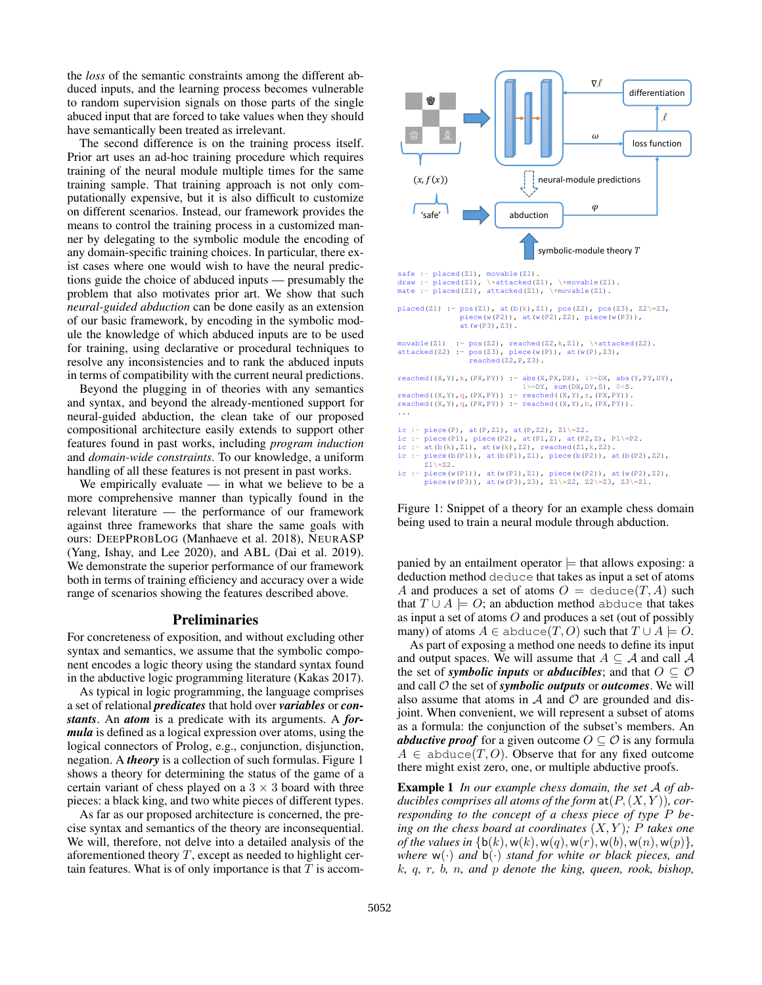the *loss* of the semantic constraints among the different abduced inputs, and the learning process becomes vulnerable to random supervision signals on those parts of the single abuced input that are forced to take values when they should have semantically been treated as irrelevant.

The second difference is on the training process itself. Prior art uses an ad-hoc training procedure which requires training of the neural module multiple times for the same training sample. That training approach is not only computationally expensive, but it is also difficult to customize on different scenarios. Instead, our framework provides the means to control the training process in a customized manner by delegating to the symbolic module the encoding of any domain-specific training choices. In particular, there exist cases where one would wish to have the neural predictions guide the choice of abduced inputs — presumably the problem that also motivates prior art. We show that such *neural-guided abduction* can be done easily as an extension of our basic framework, by encoding in the symbolic module the knowledge of which abduced inputs are to be used for training, using declarative or procedural techniques to resolve any inconsistencies and to rank the abduced inputs in terms of compatibility with the current neural predictions.

Beyond the plugging in of theories with any semantics and syntax, and beyond the already-mentioned support for neural-guided abduction, the clean take of our proposed compositional architecture easily extends to support other features found in past works, including *program induction* and *domain-wide constraints*. To our knowledge, a uniform handling of all these features is not present in past works.

We empirically evaluate  $-$  in what we believe to be a more comprehensive manner than typically found in the relevant literature — the performance of our framework against three frameworks that share the same goals with ours: DEEPPROBLOG (Manhaeve et al. 2018), NEURASP (Yang, Ishay, and Lee 2020), and ABL (Dai et al. 2019). We demonstrate the superior performance of our framework both in terms of training efficiency and accuracy over a wide range of scenarios showing the features described above.

### Preliminaries

For concreteness of exposition, and without excluding other syntax and semantics, we assume that the symbolic component encodes a logic theory using the standard syntax found in the abductive logic programming literature (Kakas 2017).

As typical in logic programming, the language comprises a set of relational *predicates* that hold over *variables* or *constants*. An *atom* is a predicate with its arguments. A *formula* is defined as a logical expression over atoms, using the logical connectors of Prolog, e.g., conjunction, disjunction, negation. A *theory* is a collection of such formulas. Figure 1 shows a theory for determining the status of the game of a certain variant of chess played on a  $3 \times 3$  board with three pieces: a black king, and two white pieces of different types.

As far as our proposed architecture is concerned, the precise syntax and semantics of the theory are inconsequential. We will, therefore, not delve into a detailed analysis of the aforementioned theory  $T$ , except as needed to highlight certain features. What is of only importance is that  $T$  is accom-



Figure 1: Snippet of a theory for an example chess domain being used to train a neural module through abduction.

panied by an entailment operator  $\models$  that allows exposing: a deduction method deduce that takes as input a set of atoms A and produces a set of atoms  $O = \text{deduce}(T, A)$  such that  $T \cup A \models O$ ; an abduction method abduce that takes as input a set of atoms O and produces a set (out of possibly many) of atoms  $A \in$  abduce(T, O) such that  $T \cup A \models O$ .

As part of exposing a method one needs to define its input and output spaces. We will assume that  $A \subseteq A$  and call  $A$ the set of *symbolic inputs* or *abducibles*; and that  $O \subseteq O$ and call O the set of *symbolic outputs* or *outcomes*. We will also assume that atoms in  $A$  and  $O$  are grounded and disjoint. When convenient, we will represent a subset of atoms as a formula: the conjunction of the subset's members. An *abductive proof* for a given outcome  $O \subset O$  is any formula  $A \in$  abduce(T, O). Observe that for any fixed outcome there might exist zero, one, or multiple abductive proofs.

Example 1 *In our example chess domain, the set* A *of ab*ducibles comprises all atoms of the form  $\text{at}(P,(X,Y))$ , cor*responding to the concept of a chess piece of type* P *being on the chess board at coordinates* (X, Y )*;* P *takes one of the values in*  $\{b(k), w(k), w(q), w(r), w(b), w(n), w(p)\}$ , *where*  $w(\cdot)$  *and*  $b(\cdot)$  *stand for white or black pieces, and* k*,* q*,* r*,* b*,* n*, and* p *denote the king, queen, rook, bishop,*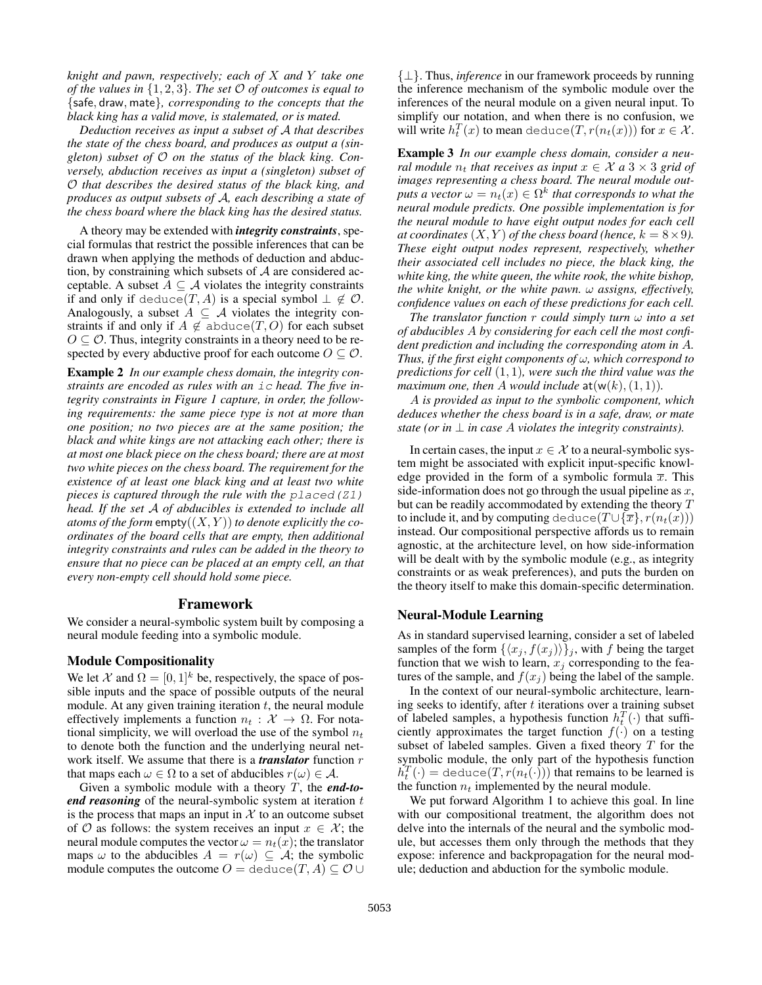*knight and pawn, respectively; each of* X *and* Y *take one of the values in* {1, 2, 3}*. The set* O *of outcomes is equal to* {safe, draw, mate}*, corresponding to the concepts that the black king has a valid move, is stalemated, or is mated.*

*Deduction receives as input a subset of* A *that describes the state of the chess board, and produces as output a (singleton) subset of* O *on the status of the black king. Conversely, abduction receives as input a (singleton) subset of* O *that describes the desired status of the black king, and produces as output subsets of* A*, each describing a state of the chess board where the black king has the desired status.*

A theory may be extended with *integrity constraints*, special formulas that restrict the possible inferences that can be drawn when applying the methods of deduction and abduction, by constraining which subsets of  $A$  are considered acceptable. A subset  $A \subseteq \mathcal{A}$  violates the integrity constraints if and only if deduce(T, A) is a special symbol  $\perp \notin \mathcal{O}$ . Analogously, a subset  $A \subseteq A$  violates the integrity constraints if and only if  $A \notin \text{abduce}(T, O)$  for each subset  $O \subseteq \mathcal{O}$ . Thus, integrity constraints in a theory need to be respected by every abductive proof for each outcome  $O \subseteq O$ .

Example 2 *In our example chess domain, the integrity constraints are encoded as rules with an* ic *head. The five integrity constraints in Figure 1 capture, in order, the following requirements: the same piece type is not at more than one position; no two pieces are at the same position; the black and white kings are not attacking each other; there is at most one black piece on the chess board; there are at most two white pieces on the chess board. The requirement for the existence of at least one black king and at least two white pieces is captured through the rule with the* placed(Z1) *head. If the set* A *of abducibles is extended to include all atoms of the form* empty $((X, Y))$  *to denote explicitly the coordinates of the board cells that are empty, then additional integrity constraints and rules can be added in the theory to ensure that no piece can be placed at an empty cell, an that every non-empty cell should hold some piece.*

### Framework

We consider a neural-symbolic system built by composing a neural module feeding into a symbolic module.

#### Module Compositionality

We let X and  $\Omega = [0, 1]^k$  be, respectively, the space of possible inputs and the space of possible outputs of the neural module. At any given training iteration  $t$ , the neural module effectively implements a function  $n_t : \mathcal{X} \to \Omega$ . For notational simplicity, we will overload the use of the symbol  $n_t$ to denote both the function and the underlying neural network itself. We assume that there is a *translator* function r that maps each  $\omega \in \Omega$  to a set of abducibles  $r(\omega) \in \mathcal{A}$ .

Given a symbolic module with a theory T, the *end-toend reasoning* of the neural-symbolic system at iteration t is the process that maps an input in  $X$  to an outcome subset of  $\mathcal O$  as follows: the system receives an input  $x \in \mathcal X$ ; the neural module computes the vector  $\omega = n_t(x)$ ; the translator maps  $\omega$  to the abducibles  $A = r(\omega) \subseteq A$ ; the symbolic module computes the outcome  $O =$  deduce $(T, A) \subseteq O \cup$ 

{⊥}. Thus, *inference* in our framework proceeds by running the inference mechanism of the symbolic module over the inferences of the neural module on a given neural input. To simplify our notation, and when there is no confusion, we will write  $h_t^T(x)$  to mean deduce $(T, r(n_t(x)))$  for  $x \in \mathcal{X}$ .

Example 3 *In our example chess domain, consider a neural module*  $n_t$  *that receives as input*  $x \in \mathcal{X}$  *a*  $3 \times 3$  *grid of images representing a chess board. The neural module outputs a vector*  $\omega = n_t(x) \in \Omega^k$  *that corresponds to what the neural module predicts. One possible implementation is for the neural module to have eight output nodes for each cell at coordinates*  $(X, Y)$  *of the chess board (hence,*  $k = 8 \times 9$ ). *These eight output nodes represent, respectively, whether their associated cell includes no piece, the black king, the white king, the white queen, the white rook, the white bishop, the white knight, or the white pawn.* ω *assigns, effectively, confidence values on each of these predictions for each cell.*

*The translator function* r *could simply turn* ω *into a set of abducibles* A *by considering for each cell the most confident prediction and including the corresponding atom in* A*. Thus, if the first eight components of* ω*, which correspond to predictions for cell* (1, 1)*, were such the third value was the maximum one, then* A *would include*  $at(w(k), (1, 1))$ *.* 

A *is provided as input to the symbolic component, which deduces whether the chess board is in a safe, draw, or mate state (or in*  $\perp$  *in case A violates the integrity constraints).* 

In certain cases, the input  $x \in \mathcal{X}$  to a neural-symbolic system might be associated with explicit input-specific knowledge provided in the form of a symbolic formula  $\overline{x}$ . This side-information does not go through the usual pipeline as  $x$ , but can be readily accommodated by extending the theory T to include it, and by computing deduce( $T \cup {\overline{x}}$ ,  $r(n_t(x))$ ) instead. Our compositional perspective affords us to remain agnostic, at the architecture level, on how side-information will be dealt with by the symbolic module (e.g., as integrity constraints or as weak preferences), and puts the burden on the theory itself to make this domain-specific determination.

### Neural-Module Learning

As in standard supervised learning, consider a set of labeled samples of the form  $\{\langle x_j, f(x_j) \rangle\}_j$ , with f being the target function that we wish to learn,  $x_j$  corresponding to the features of the sample, and  $f(x_j)$  being the label of the sample.

In the context of our neural-symbolic architecture, learning seeks to identify, after  $t$  iterations over a training subset of labeled samples, a hypothesis function  $h_t^T(\cdot)$  that sufficiently approximates the target function  $f(\cdot)$  on a testing subset of labeled samples. Given a fixed theory  $T$  for the symbolic module, the only part of the hypothesis function  $h_t^T(\cdot) = \text{deduce}(T, r(n_t(\cdot)))$  that remains to be learned is the function  $n_t$  implemented by the neural module.

We put forward Algorithm 1 to achieve this goal. In line with our compositional treatment, the algorithm does not delve into the internals of the neural and the symbolic module, but accesses them only through the methods that they expose: inference and backpropagation for the neural module; deduction and abduction for the symbolic module.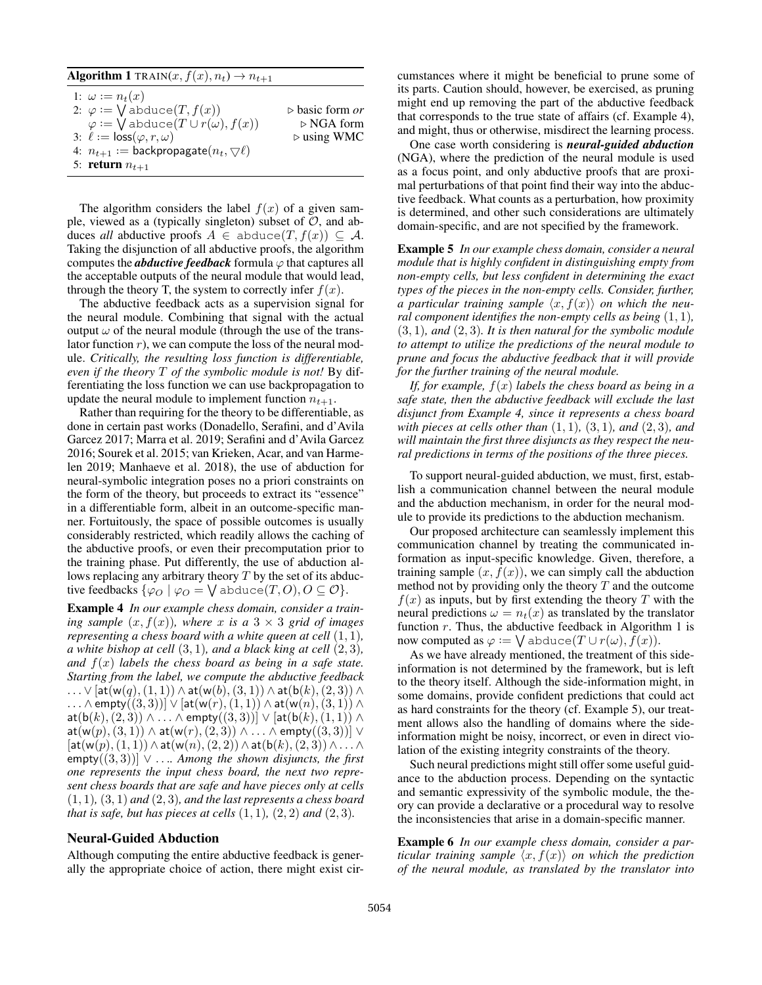### **Algorithm 1** TRAIN $(x, f(x), n_t) \rightarrow n_{t+1}$

| 1: $\omega := n_t(x)$<br>2: $\varphi := \bigvee$ abduce $(T, f(x))$<br>$\varphi := \bigvee$ abduce $(T \cup r(\omega), f(x))$ | $\triangleright$ basic form <i>or</i><br>$\triangleright$ NGA form |
|-------------------------------------------------------------------------------------------------------------------------------|--------------------------------------------------------------------|
| 3: $\ell := \text{loss}(\varphi, r, \omega)$                                                                                  | $\triangleright$ using WMC                                         |
| 4: $n_{t+1}$ := backpropagate $(n_t, \nabla \ell)$                                                                            |                                                                    |
| 5: return $n_{t+1}$                                                                                                           |                                                                    |

The algorithm considers the label  $f(x)$  of a given sample, viewed as a (typically singleton) subset of  $\mathcal{O}$ , and abduces *all* abductive proofs  $A \in$  abduce(T,  $f(x)$ ) ⊆ A. Taking the disjunction of all abductive proofs, the algorithm computes the *abductive feedback* formula  $\varphi$  that captures all the acceptable outputs of the neural module that would lead, through the theory T, the system to correctly infer  $f(x)$ .

The abductive feedback acts as a supervision signal for the neural module. Combining that signal with the actual output  $\omega$  of the neural module (through the use of the translator function  $r$ ), we can compute the loss of the neural module. *Critically, the resulting loss function is differentiable, even if the theory* T *of the symbolic module is not!* By differentiating the loss function we can use backpropagation to update the neural module to implement function  $n_{t+1}$ .

Rather than requiring for the theory to be differentiable, as done in certain past works (Donadello, Serafini, and d'Avila Garcez 2017; Marra et al. 2019; Serafini and d'Avila Garcez 2016; Sourek et al. 2015; van Krieken, Acar, and van Harmelen 2019; Manhaeve et al. 2018), the use of abduction for neural-symbolic integration poses no a priori constraints on the form of the theory, but proceeds to extract its "essence" in a differentiable form, albeit in an outcome-specific manner. Fortuitously, the space of possible outcomes is usually considerably restricted, which readily allows the caching of the abductive proofs, or even their precomputation prior to the training phase. Put differently, the use of abduction allows replacing any arbitrary theory  $T$  by the set of its abductive feedbacks  $\{\varphi_O \mid \varphi_O = \bigvee \text{abduce}(T,O), O \subseteq O\}.$ 

Example 4 *In our example chess domain, consider a training sample*  $(x, f(x))$ *, where* x *is* a 3  $\times$  3 *grid of images representing a chess board with a white queen at cell* (1, 1)*, a white bishop at cell* (3, 1)*, and a black king at cell* (2, 3)*, and* f(x) *labels the chess board as being in a safe state. Starting from the label, we compute the abductive feedback* ...  $\vee$  [at(w(q),(1,1)) ∧ at(w(b),(3,1)) ∧ at(b(k),(2,3)) ∧  $\ldots \wedge$  empty $((3,3))] \vee [\mathsf{at}(w(r),(1,1)) \wedge \mathsf{at}(w(n),(3,1)) \wedge$  $\mathsf{at}(\mathsf{b}(k),(2,3)) \wedge \ldots \wedge \mathsf{empty}((3,3))] \vee [\mathsf{at}(\mathsf{b}(k),(1,1)) \wedge$  $at(w(p),(3,1)) \wedge at(w(r),(2,3)) \wedge \ldots \wedge empty((3,3))] \vee$  $[$ at(w $(p)$ , $(1, 1)$ )  $\wedge$  at(w $(n)$ , $(2, 2)$ )  $\wedge$  at(b $(k)$ , $(2, 3)$ )  $\wedge$  ...  $\wedge$ empty((3, 3))] ∨ . . .*. Among the shown disjuncts, the first one represents the input chess board, the next two represent chess boards that are safe and have pieces only at cells*  $(1, 1)$ *,*  $(3, 1)$  *and*  $(2, 3)$ *, and the last represents a chess board that is safe, but has pieces at cells*  $(1, 1)$ *,*  $(2, 2)$  *and*  $(2, 3)$ *.* 

### Neural-Guided Abduction

Although computing the entire abductive feedback is generally the appropriate choice of action, there might exist circumstances where it might be beneficial to prune some of its parts. Caution should, however, be exercised, as pruning might end up removing the part of the abductive feedback that corresponds to the true state of affairs (cf. Example 4), and might, thus or otherwise, misdirect the learning process.

One case worth considering is *neural-guided abduction* (NGA), where the prediction of the neural module is used as a focus point, and only abductive proofs that are proximal perturbations of that point find their way into the abductive feedback. What counts as a perturbation, how proximity is determined, and other such considerations are ultimately domain-specific, and are not specified by the framework.

Example 5 *In our example chess domain, consider a neural module that is highly confident in distinguishing empty from non-empty cells, but less confident in determining the exact types of the pieces in the non-empty cells. Consider, further, a particular training sample*  $\langle x, f(x) \rangle$  *on which the neural component identifies the non-empty cells as being* (1, 1)*,*  $(3, 1)$ *, and*  $(2, 3)$ *. It is then natural for the symbolic module to attempt to utilize the predictions of the neural module to prune and focus the abductive feedback that it will provide for the further training of the neural module.*

*If, for example,* f(x) *labels the chess board as being in a safe state, then the abductive feedback will exclude the last disjunct from Example 4, since it represents a chess board with pieces at cells other than* (1, 1)*,* (3, 1)*, and* (2, 3)*, and will maintain the first three disjuncts as they respect the neural predictions in terms of the positions of the three pieces.*

To support neural-guided abduction, we must, first, establish a communication channel between the neural module and the abduction mechanism, in order for the neural module to provide its predictions to the abduction mechanism.

Our proposed architecture can seamlessly implement this communication channel by treating the communicated information as input-specific knowledge. Given, therefore, a training sample  $(x, f(x))$ , we can simply call the abduction method not by providing only the theory  $T$  and the outcome  $f(x)$  as inputs, but by first extending the theory T with the neural predictions  $\omega = n_t(x)$  as translated by the translator function  $r$ . Thus, the abductive feedback in Algorithm 1 is now computed as  $\varphi \mathrel{\mathop:}= \bigvee \text{abduce}(T \cup r(\omega), \bar{f}(x)).$ 

As we have already mentioned, the treatment of this sideinformation is not determined by the framework, but is left to the theory itself. Although the side-information might, in some domains, provide confident predictions that could act as hard constraints for the theory (cf. Example 5), our treatment allows also the handling of domains where the sideinformation might be noisy, incorrect, or even in direct violation of the existing integrity constraints of the theory.

Such neural predictions might still offer some useful guidance to the abduction process. Depending on the syntactic and semantic expressivity of the symbolic module, the theory can provide a declarative or a procedural way to resolve the inconsistencies that arise in a domain-specific manner.

Example 6 *In our example chess domain, consider a particular training sample*  $\langle x, f(x) \rangle$  *on which the prediction of the neural module, as translated by the translator into*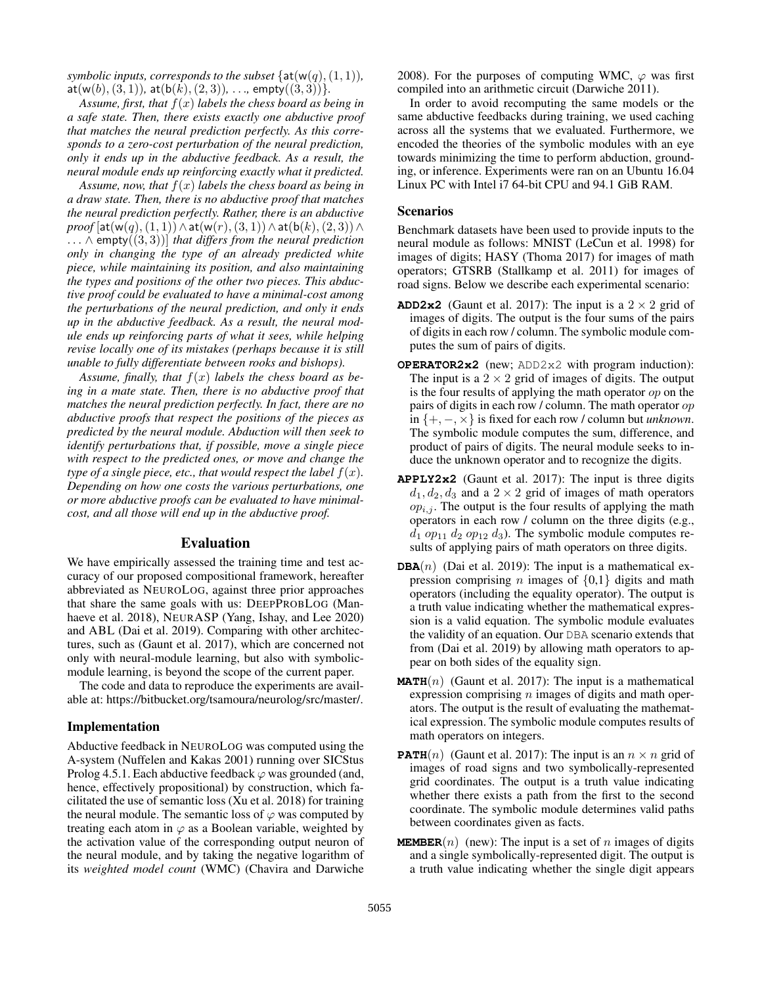*symbolic inputs, corresponds to the subset*  $\{at(w(q), (1, 1)),$ at( $w(b)$ , (3, 1)), at( $b(k)$ , (2, 3)), . . ., empty((3, 3))}.

*Assume, first, that* f(x) *labels the chess board as being in a safe state. Then, there exists exactly one abductive proof that matches the neural prediction perfectly. As this corresponds to a zero-cost perturbation of the neural prediction, only it ends up in the abductive feedback. As a result, the neural module ends up reinforcing exactly what it predicted.*

*Assume, now, that* f(x) *labels the chess board as being in a draw state. Then, there is no abductive proof that matches the neural prediction perfectly. Rather, there is an abductive*  $proof[at(w(q), (1, 1)) \wedge at(w(r), (3, 1)) \wedge at(b(k), (2, 3)) \wedge$ . . . ∧ empty((3, 3))] *that differs from the neural prediction only in changing the type of an already predicted white piece, while maintaining its position, and also maintaining the types and positions of the other two pieces. This abductive proof could be evaluated to have a minimal-cost among the perturbations of the neural prediction, and only it ends up in the abductive feedback. As a result, the neural module ends up reinforcing parts of what it sees, while helping revise locally one of its mistakes (perhaps because it is still unable to fully differentiate between rooks and bishops).*

Assume, finally, that  $f(x)$  labels the chess board as be*ing in a mate state. Then, there is no abductive proof that matches the neural prediction perfectly. In fact, there are no abductive proofs that respect the positions of the pieces as predicted by the neural module. Abduction will then seek to identify perturbations that, if possible, move a single piece with respect to the predicted ones, or move and change the type of a single piece, etc., that would respect the label*  $f(x)$ *. Depending on how one costs the various perturbations, one or more abductive proofs can be evaluated to have minimalcost, and all those will end up in the abductive proof.*

### Evaluation

We have empirically assessed the training time and test accuracy of our proposed compositional framework, hereafter abbreviated as NEUROLOG, against three prior approaches that share the same goals with us: DEEPPROBLOG (Manhaeve et al. 2018), NEURASP (Yang, Ishay, and Lee 2020) and ABL (Dai et al. 2019). Comparing with other architectures, such as (Gaunt et al. 2017), which are concerned not only with neural-module learning, but also with symbolicmodule learning, is beyond the scope of the current paper.

The code and data to reproduce the experiments are available at: https://bitbucket.org/tsamoura/neurolog/src/master/.

#### Implementation

Abductive feedback in NEUROLOG was computed using the A-system (Nuffelen and Kakas 2001) running over SICStus Prolog 4.5.1. Each abductive feedback  $\varphi$  was grounded (and, hence, effectively propositional) by construction, which facilitated the use of semantic loss (Xu et al. 2018) for training the neural module. The semantic loss of  $\varphi$  was computed by treating each atom in  $\varphi$  as a Boolean variable, weighted by the activation value of the corresponding output neuron of the neural module, and by taking the negative logarithm of its *weighted model count* (WMC) (Chavira and Darwiche

2008). For the purposes of computing WMC,  $\varphi$  was first compiled into an arithmetic circuit (Darwiche 2011).

In order to avoid recomputing the same models or the same abductive feedbacks during training, we used caching across all the systems that we evaluated. Furthermore, we encoded the theories of the symbolic modules with an eye towards minimizing the time to perform abduction, grounding, or inference. Experiments were ran on an Ubuntu 16.04 Linux PC with Intel i7 64-bit CPU and 94.1 GiB RAM.

### Scenarios

Benchmark datasets have been used to provide inputs to the neural module as follows: MNIST (LeCun et al. 1998) for images of digits; HASY (Thoma 2017) for images of math operators; GTSRB (Stallkamp et al. 2011) for images of road signs. Below we describe each experimental scenario:

- **ADD2x2** (Gaunt et al. 2017): The input is a  $2 \times 2$  grid of images of digits. The output is the four sums of the pairs of digits in each row / column. The symbolic module computes the sum of pairs of digits.
- **OPERATOR2x2** (new; ADD2x2 with program induction): The input is a  $2 \times 2$  grid of images of digits. The output is the four results of applying the math operator  $op$  on the pairs of digits in each row / column. The math operator op in {+, −, ×} is fixed for each row / column but *unknown*. The symbolic module computes the sum, difference, and product of pairs of digits. The neural module seeks to induce the unknown operator and to recognize the digits.
- **APPLY2x2** (Gaunt et al. 2017): The input is three digits  $d_1, d_2, d_3$  and a  $2 \times 2$  grid of images of math operators  $op_{i,j}$ . The output is the four results of applying the math operators in each row / column on the three digits (e.g.,  $d_1$  op<sub>11</sub>  $d_2$  op<sub>12</sub>  $d_3$ ). The symbolic module computes results of applying pairs of math operators on three digits.
- **DBA** $(n)$  (Dai et al. 2019): The input is a mathematical expression comprising *n* images of  $\{0,1\}$  digits and math operators (including the equality operator). The output is a truth value indicating whether the mathematical expression is a valid equation. The symbolic module evaluates the validity of an equation. Our DBA scenario extends that from (Dai et al. 2019) by allowing math operators to appear on both sides of the equality sign.
- **MATH** $(n)$  (Gaunt et al. 2017): The input is a mathematical expression comprising  $n$  images of digits and math operators. The output is the result of evaluating the mathematical expression. The symbolic module computes results of math operators on integers.
- **PATH** $(n)$  (Gaunt et al. 2017): The input is an  $n \times n$  grid of images of road signs and two symbolically-represented grid coordinates. The output is a truth value indicating whether there exists a path from the first to the second coordinate. The symbolic module determines valid paths between coordinates given as facts.
- **MEMBER** $(n)$  (new): The input is a set of n images of digits and a single symbolically-represented digit. The output is a truth value indicating whether the single digit appears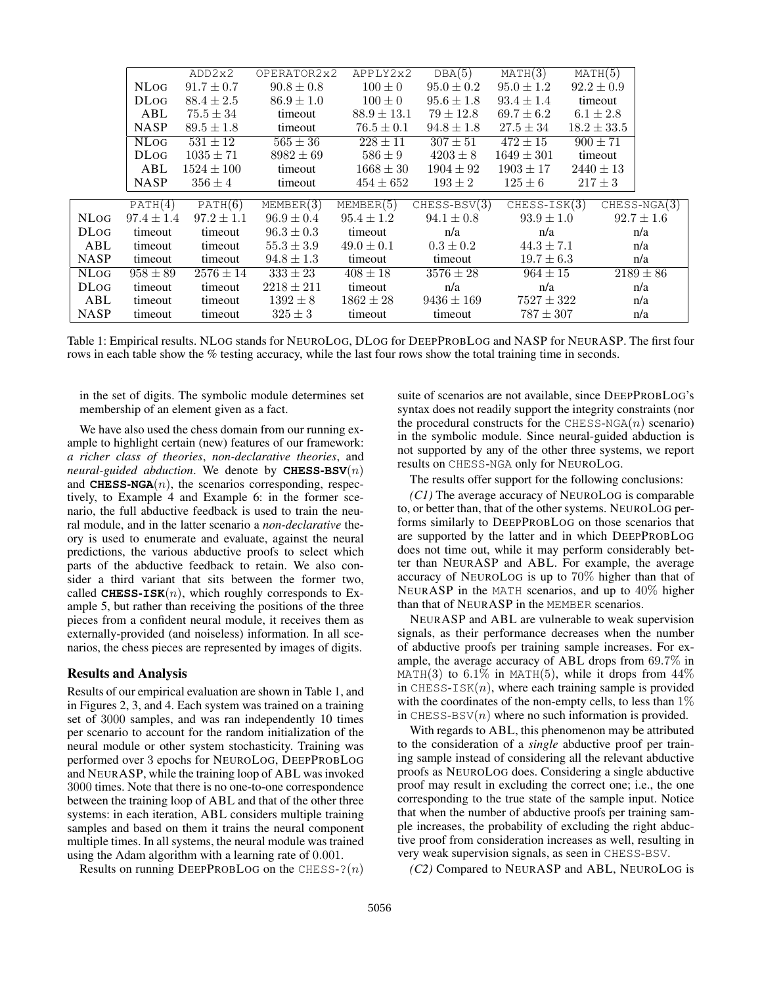|             |                          | ADD2x2         | OPERATOR2x2    | APPLY2x2        | DBA(5)         | MATH(3)        | MATH(5)         |                |                |
|-------------|--------------------------|----------------|----------------|-----------------|----------------|----------------|-----------------|----------------|----------------|
|             | <b>NLOG</b>              | $91.7 \pm 0.7$ | $90.8 \pm 0.8$ | $100 \pm 0$     | $95.0 \pm 0.2$ | $95.0 \pm 1.2$ | $92.2 \pm 0.9$  |                |                |
|             | <b>DLOG</b>              | $88.4 \pm 2.5$ | $86.9 \pm 1.0$ | $100 \pm 0$     | $95.6 \pm 1.8$ | $93.4 \pm 1.4$ | timeout         |                |                |
|             | ABL                      | $75.5 \pm 34$  | timeout        | $88.9 \pm 13.1$ | $79 \pm 12.8$  | $69.7 \pm 6.2$ | $6.1 \pm 2.8$   |                |                |
|             | <b>NASP</b>              | $89.5 \pm 1.8$ | timeout        | $76.5 \pm 0.1$  | $94.8 \pm 1.8$ | $27.5 \pm 34$  | $18.2 \pm 33.5$ |                |                |
|             | $\overline{\text{NLog}}$ | $531 \pm 12$   | $565 \pm 36$   | $228 \pm 11$    | $307 \pm 51$   | $472 \pm 15$   | $900 \pm 71$    |                |                |
|             | <b>DLog</b>              | $1035 \pm 71$  | $8982 \pm 69$  | $586 \pm 9$     | $4203 \pm 8$   | $1649 \pm 301$ | timeout         |                |                |
|             | ABL                      | $1524 \pm 100$ | timeout        | $1668 \pm 30$   | $1904 \pm 92$  | $1903 \pm 17$  | $2440 \pm 13$   |                |                |
|             | <b>NASP</b>              | $356 \pm 4$    | timeout        | $454 \pm 652$   | $193 \pm 2$    | $125 \pm 6$    | $217 \pm 3$     |                |                |
|             | PATH(4)                  | PATH(6)        | MEMBER(3)      | MEMBER(5)       | $CHESS-BSV(3)$ | $CHESS-ISK(3)$ |                 |                | $CHESS-NGA(3)$ |
| <b>NLOG</b> | $97.4 \pm 1.4$           | $97.2 \pm 1.1$ | $96.9 \pm 0.4$ | $95.4 \pm 1.2$  | $94.1 \pm 0.8$ | $93.9 \pm 1.0$ |                 | $92.7 \pm 1.6$ |                |
| <b>DLog</b> | timeout                  | timeout        | $96.3 \pm 0.3$ | timeout         | n/a            | n/a            |                 | n/a            |                |
| ABL         | timeout                  | timeout        | $55.3 \pm 3.9$ | $49.0 \pm 0.1$  | $0.3 \pm 0.2$  | $44.3 \pm 7.1$ |                 | n/a            |                |
| <b>NASP</b> | timeout                  | timeout        | $94.8 \pm 1.3$ | timeout         | timeout        | $19.7 \pm 6.3$ |                 |                | n/a            |
| <b>NLOG</b> | $958 \pm 89$             | $2576 \pm 14$  | $333 \pm 23$   | $408 \pm 18$    | $3576 \pm 28$  | $964 \pm 15$   |                 |                | $2189 \pm 86$  |
| <b>DLog</b> | timeout                  | timeout        | $2218 \pm 211$ | timeout         | n/a            | n/a            |                 |                | n/a            |
| ABL         | timeout                  | timeout        | $1392 \pm 8$   | $1862 \pm 28$   | $9436 \pm 169$ |                | $7527 \pm 322$  |                | n/a            |
| <b>NASP</b> | timeout                  | timeout        | $325 \pm 3$    | timeout         | timeout        | $787 \pm 307$  |                 |                | n/a            |

Table 1: Empirical results. NLOG stands for NEUROLOG, DLOG for DEEPPROBLOG and NASP for NEURASP. The first four rows in each table show the % testing accuracy, while the last four rows show the total training time in seconds.

in the set of digits. The symbolic module determines set membership of an element given as a fact.

We have also used the chess domain from our running example to highlight certain (new) features of our framework: *a richer class of theories*, *non-declarative theories*, and *neural-guided abduction*. We denote by **CHESS**-**BSV**(n) and **CHESS-NGA** $(n)$ , the scenarios corresponding, respectively, to Example 4 and Example 6: in the former scenario, the full abductive feedback is used to train the neural module, and in the latter scenario a *non-declarative* theory is used to enumerate and evaluate, against the neural predictions, the various abductive proofs to select which parts of the abductive feedback to retain. We also consider a third variant that sits between the former two, called **CHESS-ISK** $(n)$ , which roughly corresponds to Example 5, but rather than receiving the positions of the three pieces from a confident neural module, it receives them as externally-provided (and noiseless) information. In all scenarios, the chess pieces are represented by images of digits.

### Results and Analysis

Results of our empirical evaluation are shown in Table 1, and in Figures 2, 3, and 4. Each system was trained on a training set of 3000 samples, and was ran independently 10 times per scenario to account for the random initialization of the neural module or other system stochasticity. Training was performed over 3 epochs for NEUROLOG, DEEPPROBLOG and NEURASP, while the training loop of ABL was invoked 3000 times. Note that there is no one-to-one correspondence between the training loop of ABL and that of the other three systems: in each iteration, ABL considers multiple training samples and based on them it trains the neural component multiple times. In all systems, the neural module was trained using the Adam algorithm with a learning rate of 0.001.

Results on running DEEPPROBLOG on the CHESS- $?(n)$ 

suite of scenarios are not available, since DEEPPROBLOG's syntax does not readily support the integrity constraints (nor the procedural constructs for the CHESS-NGA $(n)$  scenario) in the symbolic module. Since neural-guided abduction is not supported by any of the other three systems, we report results on CHESS-NGA only for NEUROLOG.

The results offer support for the following conclusions:

*(C1)* The average accuracy of NEUROLOG is comparable to, or better than, that of the other systems. NEUROLOG performs similarly to DEEPPROBLOG on those scenarios that are supported by the latter and in which DEEPPROBLOG does not time out, while it may perform considerably better than NEURASP and ABL. For example, the average accuracy of NEUROLOG is up to 70% higher than that of NEURASP in the MATH scenarios, and up to 40% higher than that of NEURASP in the MEMBER scenarios.

NEURASP and ABL are vulnerable to weak supervision signals, as their performance decreases when the number of abductive proofs per training sample increases. For example, the average accuracy of ABL drops from 69.7% in MATH(3) to 6.1% in MATH(5), while it drops from  $44\%$ in CHESS-ISK $(n)$ , where each training sample is provided with the coordinates of the non-empty cells, to less than  $1\%$ in CHESS-BSV $(n)$  where no such information is provided.

With regards to ABL, this phenomenon may be attributed to the consideration of a *single* abductive proof per training sample instead of considering all the relevant abductive proofs as NEUROLOG does. Considering a single abductive proof may result in excluding the correct one; i.e., the one corresponding to the true state of the sample input. Notice that when the number of abductive proofs per training sample increases, the probability of excluding the right abductive proof from consideration increases as well, resulting in very weak supervision signals, as seen in CHESS-BSV.

*(C2)* Compared to NEURASP and ABL, NEUROLOG is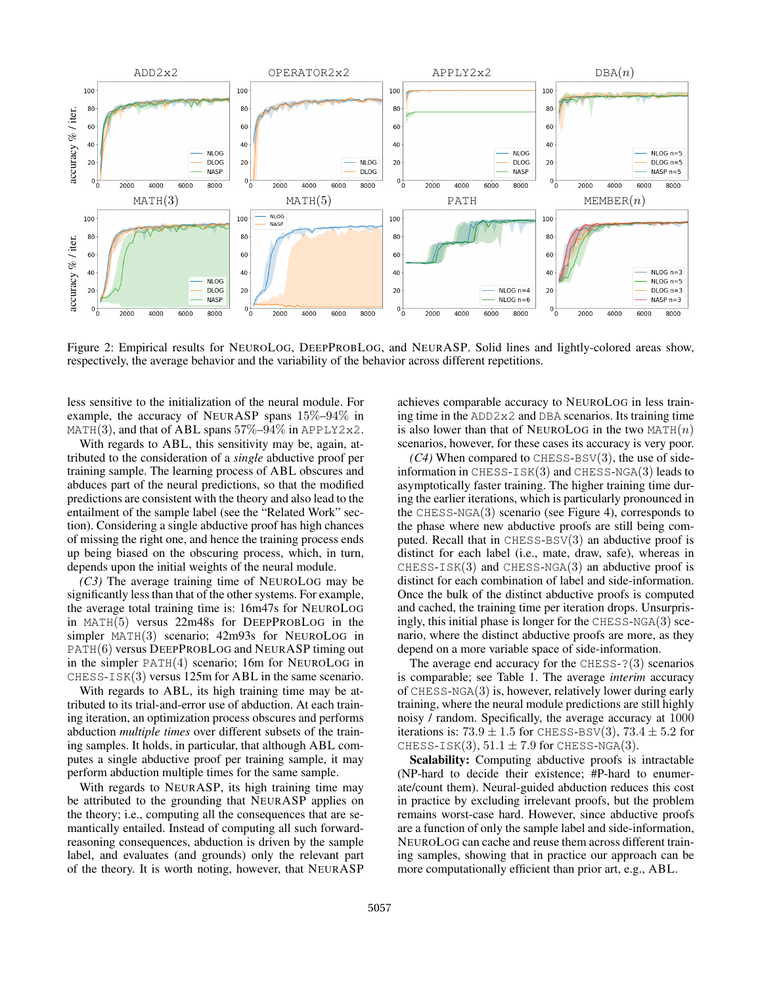

Figure 2: Empirical results for NEUROLOG, DEEPPROBLOG, and NEURASP. Solid lines and lightly-colored areas show, respectively, the average behavior and the variability of the behavior across different repetitions.

less sensitive to the initialization of the neural module. For example, the accuracy of NEURASP spans 15%–94% in MATH(3), and that of ABL spans  $57\% - 94\%$  in APPLY2x2.

With regards to ABL, this sensitivity may be, again, attributed to the consideration of a *single* abductive proof per training sample. The learning process of ABL obscures and abduces part of the neural predictions, so that the modified predictions are consistent with the theory and also lead to the entailment of the sample label (see the "Related Work" section). Considering a single abductive proof has high chances of missing the right one, and hence the training process ends up being biased on the obscuring process, which, in turn, depends upon the initial weights of the neural module.

*(C3)* The average training time of NEUROLOG may be significantly less than that of the other systems. For example, the average total training time is: 16m47s for NEUROLOG in MATH(5) versus 22m48s for DEEPPROBLOG in the simpler MATH(3) scenario; 42m93s for NEUROLOG in PATH(6) versus DEEPPROBLOG and NEURASP timing out in the simpler PATH(4) scenario; 16m for NEUROLOG in CHESS-ISK(3) versus 125m for ABL in the same scenario.

With regards to ABL, its high training time may be attributed to its trial-and-error use of abduction. At each training iteration, an optimization process obscures and performs abduction *multiple times* over different subsets of the training samples. It holds, in particular, that although ABL computes a single abductive proof per training sample, it may perform abduction multiple times for the same sample.

With regards to NEURASP, its high training time may be attributed to the grounding that NEURASP applies on the theory; i.e., computing all the consequences that are semantically entailed. Instead of computing all such forwardreasoning consequences, abduction is driven by the sample label, and evaluates (and grounds) only the relevant part of the theory. It is worth noting, however, that NEURASP

achieves comparable accuracy to NEUROLOG in less training time in the  $ADD2x2$  and DBA scenarios. Its training time is also lower than that of NEUROLOG in the two  $MATH(n)$ scenarios, however, for these cases its accuracy is very poor.

 $(C4)$  When compared to CHESS-BSV $(3)$ , the use of sideinformation in CHESS-ISK $(3)$  and CHESS-NGA $(3)$  leads to asymptotically faster training. The higher training time during the earlier iterations, which is particularly pronounced in the CHESS-NGA $(3)$  scenario (see Figure 4), corresponds to the phase where new abductive proofs are still being computed. Recall that in  $CHESS-BSV(3)$  an abductive proof is distinct for each label (i.e., mate, draw, safe), whereas in  $CHESS-ISK(3)$  and  $CHESS-NGA(3)$  an abductive proof is distinct for each combination of label and side-information. Once the bulk of the distinct abductive proofs is computed and cached, the training time per iteration drops. Unsurprisingly, this initial phase is longer for the CHESS-NGA(3) scenario, where the distinct abductive proofs are more, as they depend on a more variable space of side-information.

The average end accuracy for the  $CHESS-?$  (3) scenarios is comparable; see Table 1. The average *interim* accuracy of CHESS-NGA(3) is, however, relatively lower during early training, where the neural module predictions are still highly noisy / random. Specifically, the average accuracy at 1000 iterations is:  $73.9 \pm 1.5$  for CHESS-BSV(3),  $73.4 \pm 5.2$  for CHESS-ISK $(3)$ ,  $51.1 \pm 7.9$  for CHESS-NGA $(3)$ .

Scalability: Computing abductive proofs is intractable (NP-hard to decide their existence; #P-hard to enumerate/count them). Neural-guided abduction reduces this cost in practice by excluding irrelevant proofs, but the problem remains worst-case hard. However, since abductive proofs are a function of only the sample label and side-information, NEUROLOG can cache and reuse them across different training samples, showing that in practice our approach can be more computationally efficient than prior art, e.g., ABL.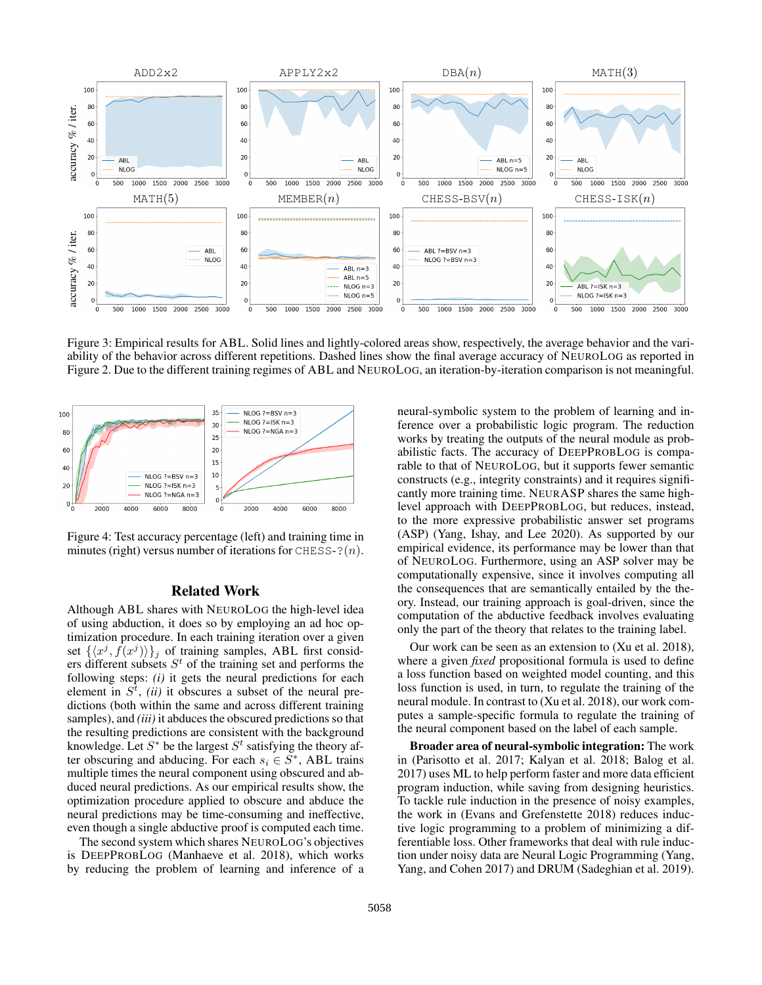

Figure 3: Empirical results for ABL. Solid lines and lightly-colored areas show, respectively, the average behavior and the variability of the behavior across different repetitions. Dashed lines show the final average accuracy of NEUROLOG as reported in Figure 2. Due to the different training regimes of ABL and NEUROLOG, an iteration-by-iteration comparison is not meaningful.



Figure 4: Test accuracy percentage (left) and training time in minutes (right) versus number of iterations for CHESS-? $(n)$ .

### Related Work

Although ABL shares with NEUROLOG the high-level idea of using abduction, it does so by employing an ad hoc optimization procedure. In each training iteration over a given set  $\{\langle x^j, \hat{f}(x^j)\rangle\}_j$  of training samples, ABL first considers different subsets  $S<sup>t</sup>$  of the training set and performs the following steps: *(i)* it gets the neural predictions for each element in  $S^t$ , *(ii)* it obscures a subset of the neural predictions (both within the same and across different training samples), and *(iii)* it abduces the obscured predictions so that the resulting predictions are consistent with the background knowledge. Let  $S^*$  be the largest  $S^t$  satisfying the theory after obscuring and abducing. For each  $s_i \in \overline{S}^*$ , ABL trains multiple times the neural component using obscured and abduced neural predictions. As our empirical results show, the optimization procedure applied to obscure and abduce the neural predictions may be time-consuming and ineffective, even though a single abductive proof is computed each time.

The second system which shares NEUROLOG's objectives is DEEPPROBLOG (Manhaeve et al. 2018), which works by reducing the problem of learning and inference of a neural-symbolic system to the problem of learning and inference over a probabilistic logic program. The reduction works by treating the outputs of the neural module as probabilistic facts. The accuracy of DEEPPROBLOG is comparable to that of NEUROLOG, but it supports fewer semantic constructs (e.g., integrity constraints) and it requires significantly more training time. NEURASP shares the same highlevel approach with DEEPPROBLOG, but reduces, instead, to the more expressive probabilistic answer set programs (ASP) (Yang, Ishay, and Lee 2020). As supported by our empirical evidence, its performance may be lower than that of NEUROLOG. Furthermore, using an ASP solver may be computationally expensive, since it involves computing all the consequences that are semantically entailed by the theory. Instead, our training approach is goal-driven, since the computation of the abductive feedback involves evaluating only the part of the theory that relates to the training label.

Our work can be seen as an extension to (Xu et al. 2018), where a given *fixed* propositional formula is used to define a loss function based on weighted model counting, and this loss function is used, in turn, to regulate the training of the neural module. In contrast to (Xu et al. 2018), our work computes a sample-specific formula to regulate the training of the neural component based on the label of each sample.

Broader area of neural-symbolic integration: The work in (Parisotto et al. 2017; Kalyan et al. 2018; Balog et al. 2017) uses ML to help perform faster and more data efficient program induction, while saving from designing heuristics. To tackle rule induction in the presence of noisy examples, the work in (Evans and Grefenstette 2018) reduces inductive logic programming to a problem of minimizing a differentiable loss. Other frameworks that deal with rule induction under noisy data are Neural Logic Programming (Yang, Yang, and Cohen 2017) and DRUM (Sadeghian et al. 2019).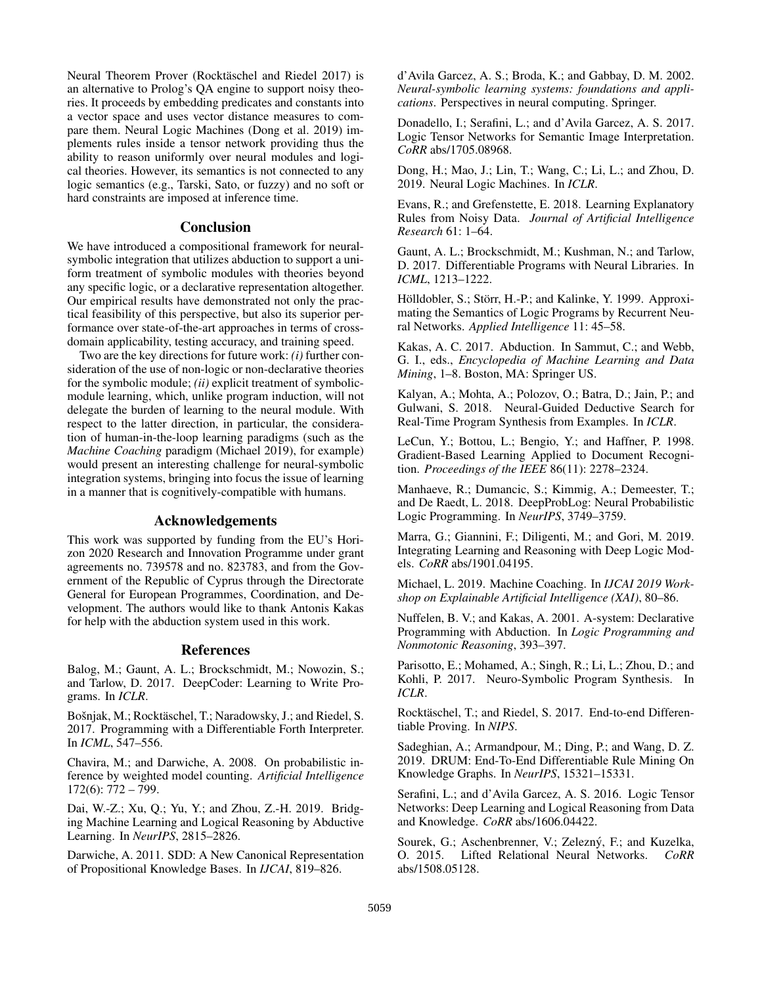Neural Theorem Prover (Rocktäschel and Riedel 2017) is an alternative to Prolog's QA engine to support noisy theories. It proceeds by embedding predicates and constants into a vector space and uses vector distance measures to compare them. Neural Logic Machines (Dong et al. 2019) implements rules inside a tensor network providing thus the ability to reason uniformly over neural modules and logical theories. However, its semantics is not connected to any logic semantics (e.g., Tarski, Sato, or fuzzy) and no soft or hard constraints are imposed at inference time.

### **Conclusion**

We have introduced a compositional framework for neuralsymbolic integration that utilizes abduction to support a uniform treatment of symbolic modules with theories beyond any specific logic, or a declarative representation altogether. Our empirical results have demonstrated not only the practical feasibility of this perspective, but also its superior performance over state-of-the-art approaches in terms of crossdomain applicability, testing accuracy, and training speed.

Two are the key directions for future work: *(i)* further consideration of the use of non-logic or non-declarative theories for the symbolic module; *(ii)* explicit treatment of symbolicmodule learning, which, unlike program induction, will not delegate the burden of learning to the neural module. With respect to the latter direction, in particular, the consideration of human-in-the-loop learning paradigms (such as the *Machine Coaching* paradigm (Michael 2019), for example) would present an interesting challenge for neural-symbolic integration systems, bringing into focus the issue of learning in a manner that is cognitively-compatible with humans.

## Acknowledgements

This work was supported by funding from the EU's Horizon 2020 Research and Innovation Programme under grant agreements no. 739578 and no. 823783, and from the Government of the Republic of Cyprus through the Directorate General for European Programmes, Coordination, and Development. The authors would like to thank Antonis Kakas for help with the abduction system used in this work.

### References

Balog, M.; Gaunt, A. L.; Brockschmidt, M.; Nowozin, S.; and Tarlow, D. 2017. DeepCoder: Learning to Write Programs. In *ICLR*.

Bošnjak, M.; Rocktäschel, T.; Naradowsky, J.; and Riedel, S. 2017. Programming with a Differentiable Forth Interpreter. In *ICML*, 547–556.

Chavira, M.; and Darwiche, A. 2008. On probabilistic inference by weighted model counting. *Artificial Intelligence* 172(6): 772 – 799.

Dai, W.-Z.; Xu, Q.; Yu, Y.; and Zhou, Z.-H. 2019. Bridging Machine Learning and Logical Reasoning by Abductive Learning. In *NeurIPS*, 2815–2826.

Darwiche, A. 2011. SDD: A New Canonical Representation of Propositional Knowledge Bases. In *IJCAI*, 819–826.

d'Avila Garcez, A. S.; Broda, K.; and Gabbay, D. M. 2002. *Neural-symbolic learning systems: foundations and applications*. Perspectives in neural computing. Springer.

Donadello, I.; Serafini, L.; and d'Avila Garcez, A. S. 2017. Logic Tensor Networks for Semantic Image Interpretation. *CoRR* abs/1705.08968.

Dong, H.; Mao, J.; Lin, T.; Wang, C.; Li, L.; and Zhou, D. 2019. Neural Logic Machines. In *ICLR*.

Evans, R.; and Grefenstette, E. 2018. Learning Explanatory Rules from Noisy Data. *Journal of Artificial Intelligence Research* 61: 1–64.

Gaunt, A. L.; Brockschmidt, M.; Kushman, N.; and Tarlow, D. 2017. Differentiable Programs with Neural Libraries. In *ICML*, 1213–1222.

Hölldobler, S.; Störr, H.-P.; and Kalinke, Y. 1999. Approximating the Semantics of Logic Programs by Recurrent Neural Networks. *Applied Intelligence* 11: 45–58.

Kakas, A. C. 2017. Abduction. In Sammut, C.; and Webb, G. I., eds., *Encyclopedia of Machine Learning and Data Mining*, 1–8. Boston, MA: Springer US.

Kalyan, A.; Mohta, A.; Polozov, O.; Batra, D.; Jain, P.; and Gulwani, S. 2018. Neural-Guided Deductive Search for Real-Time Program Synthesis from Examples. In *ICLR*.

LeCun, Y.; Bottou, L.; Bengio, Y.; and Haffner, P. 1998. Gradient-Based Learning Applied to Document Recognition. *Proceedings of the IEEE* 86(11): 2278–2324.

Manhaeve, R.; Dumancic, S.; Kimmig, A.; Demeester, T.; and De Raedt, L. 2018. DeepProbLog: Neural Probabilistic Logic Programming. In *NeurIPS*, 3749–3759.

Marra, G.; Giannini, F.; Diligenti, M.; and Gori, M. 2019. Integrating Learning and Reasoning with Deep Logic Models. *CoRR* abs/1901.04195.

Michael, L. 2019. Machine Coaching. In *IJCAI 2019 Workshop on Explainable Artificial Intelligence (XAI)*, 80–86.

Nuffelen, B. V.; and Kakas, A. 2001. A-system: Declarative Programming with Abduction. In *Logic Programming and Nonmotonic Reasoning*, 393–397.

Parisotto, E.; Mohamed, A.; Singh, R.; Li, L.; Zhou, D.; and Kohli, P. 2017. Neuro-Symbolic Program Synthesis. In *ICLR*.

Rocktäschel, T.; and Riedel, S. 2017. End-to-end Differentiable Proving. In *NIPS*.

Sadeghian, A.; Armandpour, M.; Ding, P.; and Wang, D. Z. 2019. DRUM: End-To-End Differentiable Rule Mining On Knowledge Graphs. In *NeurIPS*, 15321–15331.

Serafini, L.; and d'Avila Garcez, A. S. 2016. Logic Tensor Networks: Deep Learning and Logical Reasoning from Data and Knowledge. *CoRR* abs/1606.04422.

Sourek, G.; Aschenbrenner, V.; Zelezný, F.; and Kuzelka, O. 2015. Lifted Relational Neural Networks. *CoRR* abs/1508.05128.